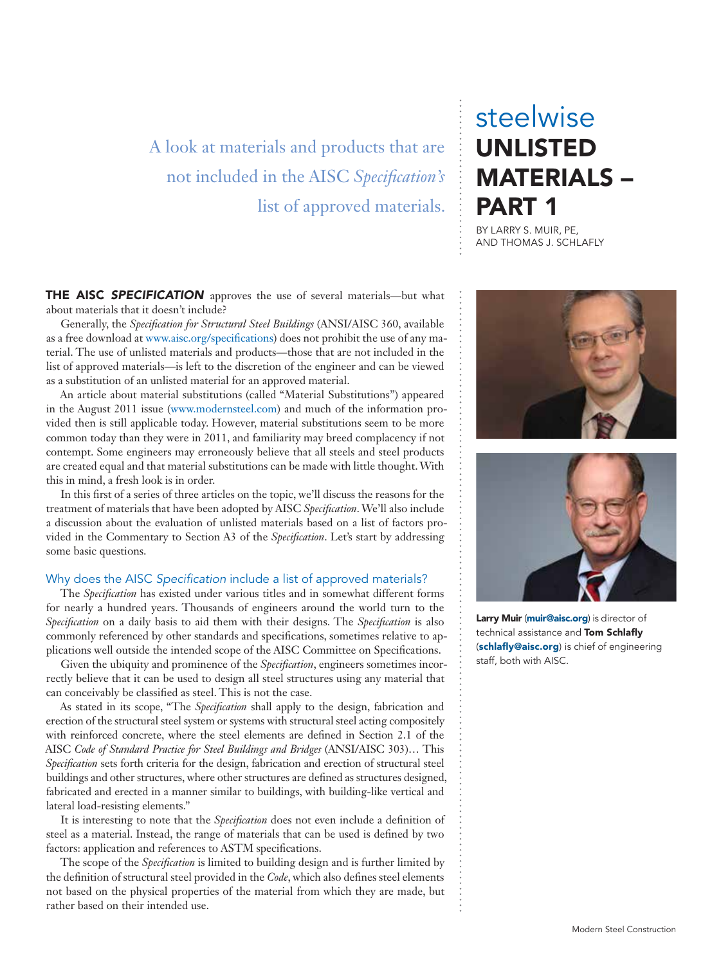## A look at materials and products that are not included in the AISC *Specification's*  list of approved materials.

## steelwise UNLISTED MATERIALS – PART 1

BY LARRY S. MUIR, PE, AND THOMAS J. SCHLAFLY

THE AISC *SPECIFICATION* approves the use of several materials—but what about materials that it doesn't include?

Generally, the *Specification for Structural Steel Buildings* (ANSI/AISC 360, available as a free download at www.aisc.org/specifications) does not prohibit the use of any material. The use of unlisted materials and products—those that are not included in the list of approved materials—is left to the discretion of the engineer and can be viewed as a substitution of an unlisted material for an approved material.

An article about material substitutions (called "Material Substitutions") appeared in the August 2011 issue (www.modernsteel.com) and much of the information provided then is still applicable today. However, material substitutions seem to be more common today than they were in 2011, and familiarity may breed complacency if not contempt. Some engineers may erroneously believe that all steels and steel products are created equal and that material substitutions can be made with little thought. With this in mind, a fresh look is in order.

In this first of a series of three articles on the topic, we'll discuss the reasons for the treatment of materials that have been adopted by AISC *Specification*. We'll also include a discussion about the evaluation of unlisted materials based on a list of factors provided in the Commentary to Section A3 of the *Specification*. Let's start by addressing some basic questions.

#### Why does the AISC *Specification* include a list of approved materials?

The *Specification* has existed under various titles and in somewhat different forms for nearly a hundred years. Thousands of engineers around the world turn to the *Specification* on a daily basis to aid them with their designs. The *Specification* is also commonly referenced by other standards and specifications, sometimes relative to applications well outside the intended scope of the AISC Committee on Specifications.

Given the ubiquity and prominence of the *Specification*, engineers sometimes incorrectly believe that it can be used to design all steel structures using any material that can conceivably be classified as steel. This is not the case.

As stated in its scope, "The *Specification* shall apply to the design, fabrication and erection of the structural steel system or systems with structural steel acting compositely with reinforced concrete, where the steel elements are defined in Section 2.1 of the AISC *Code of Standard Practice for Steel Buildings and Bridges* (ANSI/AISC 303)… This *Specification* sets forth criteria for the design, fabrication and erection of structural steel buildings and other structures, where other structures are defined as structures designed, fabricated and erected in a manner similar to buildings, with building-like vertical and lateral load-resisting elements."

It is interesting to note that the *Specification* does not even include a definition of steel as a material. Instead, the range of materials that can be used is defined by two factors: application and references to ASTM specifications.

The scope of the *Specification* is limited to building design and is further limited by the definition of structural steel provided in the *Code*, which also defines steel elements not based on the physical properties of the material from which they are made, but rather based on their intended use.





Larry Muir (muir@aisc.org) is director of technical assistance and Tom Schlafly (schlafly@aisc.org) is chief of engineering staff, both with AISC.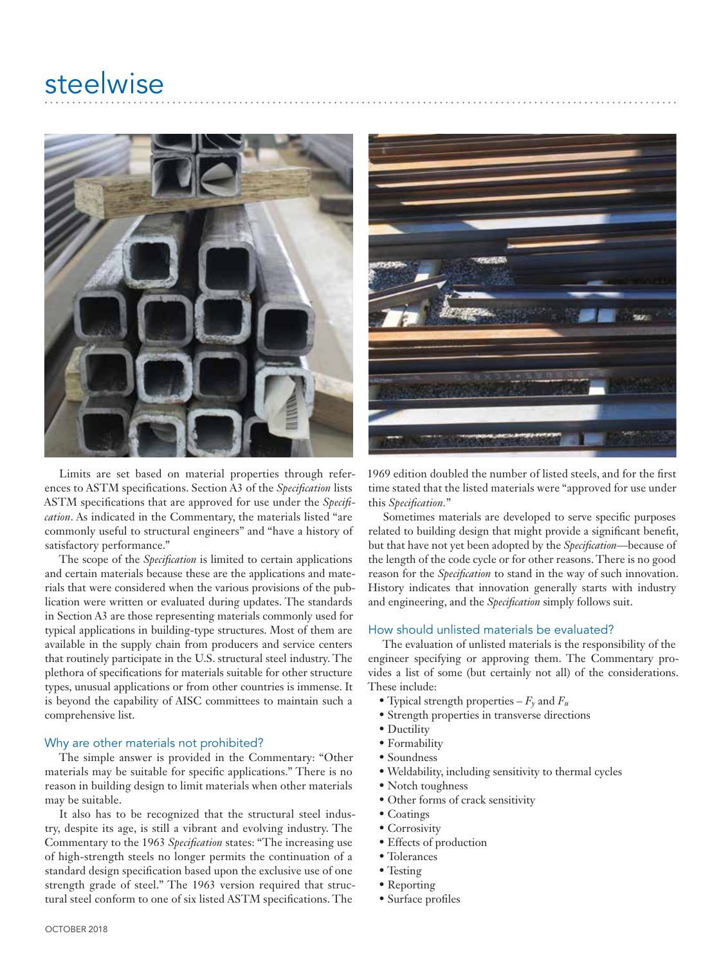## steelwise



Limits are set based on material properties through references to ASTM specifications. Section A3 of the *Specification* lists ASTM specifications that are approved for use under the *Specification*. As indicated in the Commentary, the materials listed "are commonly useful to structural engineers" and "have a history of satisfactory performance."

The scope of the *Specification* is limited to certain applications and certain materials because these are the applications and materials that were considered when the various provisions of the publication were written or evaluated during updates. The standards in Section A3 are those representing materials commonly used for typical applications in building-type structures. Most of them are available in the supply chain from producers and service centers that routinely participate in the U.S. structural steel industry. The plethora of specifications for materials suitable for other structure types, unusual applications or from other countries is immense. It is beyond the capability of AISC committees to maintain such a comprehensive list.

#### Why are other materials not prohibited?

The simple answer is provided in the Commentary: "Other materials may be suitable for specific applications." There is no reason in building design to limit materials when other materials may be suitable.

It also has to be recognized that the structural steel industry, despite its age, is still a vibrant and evolving industry. The Commentary to the 1963 *Specification* states: "The increasing use of high-strength steels no longer permits the continuation of a standard design specification based upon the exclusive use of one strength grade of steel." The 1963 version required that structural steel conform to one of six listed ASTM specifications. The



1969 edition doubled the number of listed steels, and for the first time stated that the listed materials were "approved for use under this *Specification.*"

Sometimes materials are developed to serve specific purposes related to building design that might provide a significant benefit, but that have not yet been adopted by the *Specification*—because of the length of the code cycle or for other reasons. There is no good reason for the *Specification* to stand in the way of such innovation. History indicates that innovation generally starts with industry and engineering, and the *Specification* simply follows suit.

#### How should unlisted materials be evaluated?

The evaluation of unlisted materials is the responsibility of the engineer specifying or approving them. The Commentary provides a list of some (but certainly not all) of the considerations. These include:

- Typical strength properties  $-F_\gamma$  and  $F_u$
- Strength properties in transverse directions
- Ductility
- Formability
- Soundness
- Weldability, including sensitivity to thermal cycles
- Notch toughness
- Other forms of crack sensitivity
- Coatings
- Corrosivity
- Effects of production
- Tolerances
- Testing
- Reporting
- Surface profiles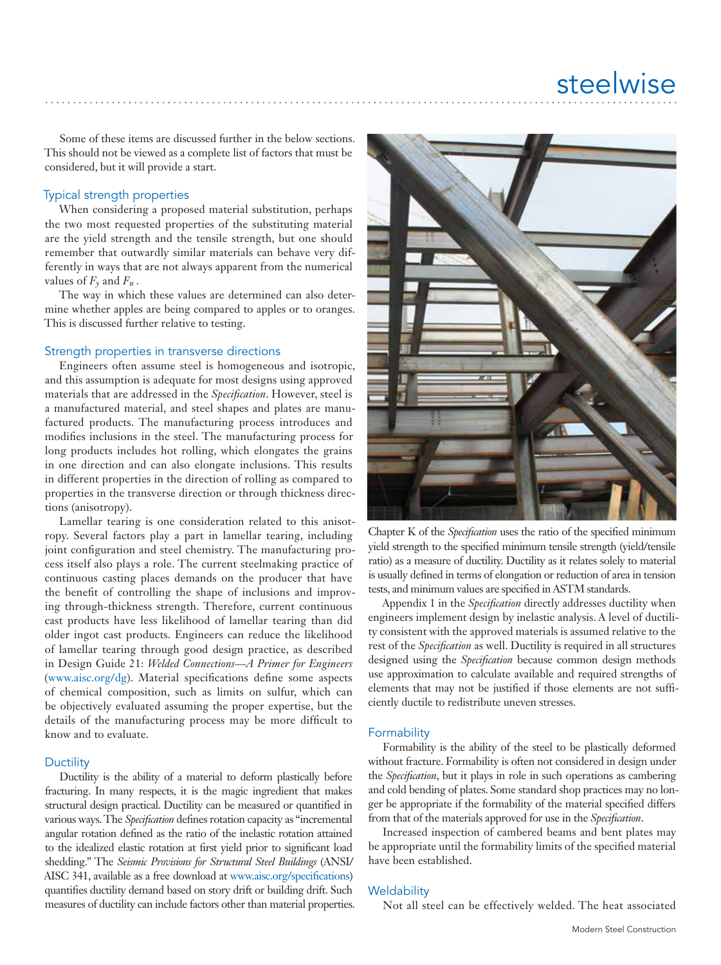Some of these items are discussed further in the below sections. This should not be viewed as a complete list of factors that must be considered, but it will provide a start.

## Typical strength properties

When considering a proposed material substitution, perhaps the two most requested properties of the substituting material are the yield strength and the tensile strength, but one should remember that outwardly similar materials can behave very differently in ways that are not always apparent from the numerical values of  $F_\nu$  and  $F_u$ .

The way in which these values are determined can also determine whether apples are being compared to apples or to oranges. This is discussed further relative to testing.

## Strength properties in transverse directions

Engineers often assume steel is homogeneous and isotropic, and this assumption is adequate for most designs using approved materials that are addressed in the *Specification*. However, steel is a manufactured material, and steel shapes and plates are manufactured products. The manufacturing process introduces and modifies inclusions in the steel. The manufacturing process for long products includes hot rolling, which elongates the grains in one direction and can also elongate inclusions. This results in different properties in the direction of rolling as compared to properties in the transverse direction or through thickness directions (anisotropy).

Lamellar tearing is one consideration related to this anisotropy. Several factors play a part in lamellar tearing, including joint configuration and steel chemistry. The manufacturing process itself also plays a role. The current steelmaking practice of continuous casting places demands on the producer that have the benefit of controlling the shape of inclusions and improving through-thickness strength. Therefore, current continuous cast products have less likelihood of lamellar tearing than did older ingot cast products. Engineers can reduce the likelihood of lamellar tearing through good design practice, as described in Design Guide 21: *Welded Connections—A Primer for Engineers* (www.aisc.org/dg). Material specifications define some aspects of chemical composition, such as limits on sulfur, which can be objectively evaluated assuming the proper expertise, but the details of the manufacturing process may be more difficult to know and to evaluate.

## **Ductility**

Ductility is the ability of a material to deform plastically before fracturing. In many respects, it is the magic ingredient that makes structural design practical. Ductility can be measured or quantified in various ways. The *Specification* defines rotation capacity as "incremental angular rotation defined as the ratio of the inelastic rotation attained to the idealized elastic rotation at first yield prior to significant load shedding." The *Seismic Provisions for Structural Steel Buildings* (ANSI/ AISC 341, available as a free download at www.aisc.org/specifications) quantifies ductility demand based on story drift or building drift. Such measures of ductility can include factors other than material properties.



Chapter K of the *Specification* uses the ratio of the specified minimum yield strength to the specified minimum tensile strength (yield/tensile ratio) as a measure of ductility. Ductility as it relates solely to material is usually defined in terms of elongation or reduction of area in tension tests, and minimum values are specified in ASTM standards.

Appendix 1 in the *Specification* directly addresses ductility when engineers implement design by inelastic analysis. A level of ductility consistent with the approved materials is assumed relative to the rest of the *Specification* as well. Ductility is required in all structures designed using the *Specification* because common design methods use approximation to calculate available and required strengths of elements that may not be justified if those elements are not sufficiently ductile to redistribute uneven stresses.

#### Formability

Formability is the ability of the steel to be plastically deformed without fracture. Formability is often not considered in design under the *Specification*, but it plays in role in such operations as cambering and cold bending of plates. Some standard shop practices may no longer be appropriate if the formability of the material specified differs from that of the materials approved for use in the *Specification*.

Increased inspection of cambered beams and bent plates may be appropriate until the formability limits of the specified material have been established.

#### **Weldability**

Not all steel can be effectively welded. The heat associated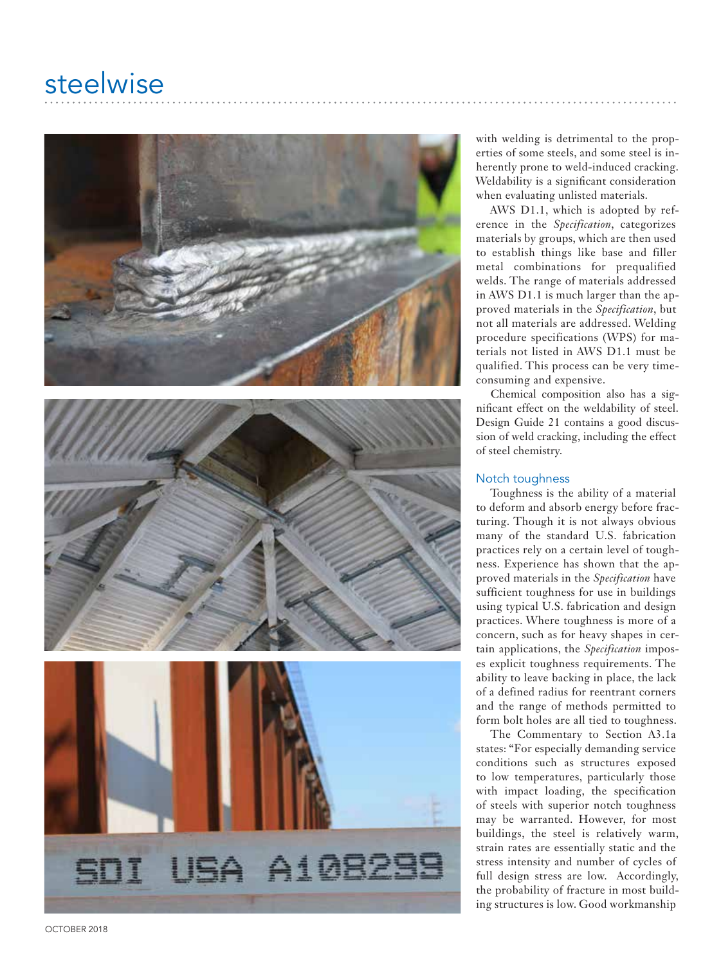# steelwise



with welding is detrimental to the prop erties of some steels, and some steel is in herently prone to weld-induced cracking. Weldability is a significant consideration when evaluating unlisted materials.

AWS D1.1, which is adopted by reference in the *Specification*, categorizes materials by groups, which are then used to establish things like base and filler metal combinations for prequalified welds. The range of materials addressed in AWS D1.1 is much larger than the ap proved materials in the *Specification*, but not all materials are addressed. Welding procedure specifications (WPS) for ma terials not listed in AWS D1.1 must be qualified. This process can be very timeconsuming and expensive.

Chemical composition also has a sig nificant effect on the weldability of steel. Design Guide 21 contains a good discus sion of weld cracking, including the effect of steel chemistry.

### Notch toughness

Toughness is the ability of a material to deform and absorb energy before frac turing. Though it is not always obvious many of the standard U.S. fabrication practices rely on a certain level of tough ness. Experience has shown that the ap proved materials in the *Specification* have sufficient toughness for use in buildings using typical U.S. fabrication and design practices. Where toughness is more of a concern, such as for heavy shapes in cer tain applications, the *Specification* impos es explicit toughness requirements. The ability to leave backing in place, the lack of a defined radius for reentrant corners and the range of methods permitted to form bolt holes are all tied to toughness.

The Commentary to Section A3.1a states: "For especially demanding service conditions such as structures exposed to low temperatures, particularly those with impact loading, the specification of steels with superior notch toughness may be warranted. However, for most buildings, the steel is relatively warm, strain rates are essentially static and the stress intensity and number of cycles of full design stress are low. Accordingly, the probability of fracture in most build ing structures is low. Good workmanship